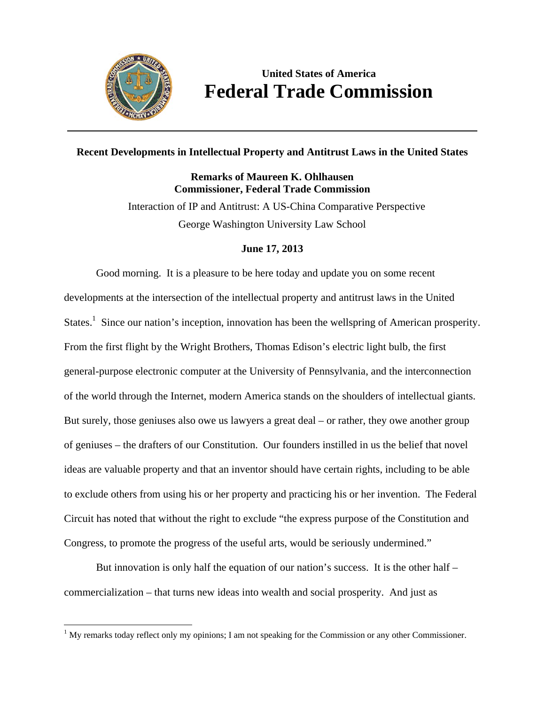

# **United States of America Federal Trade Commission**

### **Recent Developments in Intellectual Property and Antitrust Laws in the United States**

# **Remarks of Maureen K. Ohlhausen Commissioner, Federal Trade Commission**

Interaction of IP and Antitrust: A US-China Comparative Perspective George Washington University Law School

## **June 17, 2013**

Good morning. It is a pleasure to be here today and update you on some recent developments at the intersection of the intellectual property and antitrust laws in the United States.<sup>1</sup> Since our nation's inception, innovation has been the wellspring of American prosperity. From the first flight by the Wright Brothers, Thomas Edison's electric light bulb, the first general-purpose electronic computer at the University of Pennsylvania, and the interconnection of the world through the Internet, modern America stands on the shoulders of intellectual giants. But surely, those geniuses also owe us lawyers a great deal – or rather, they owe another group of geniuses – the drafters of our Constitution. Our founders instilled in us the belief that novel ideas are valuable property and that an inventor should have certain rights, including to be able to exclude others from using his or her property and practicing his or her invention. The Federal Circuit has noted that without the right to exclude "the express purpose of the Constitution and Congress, to promote the progress of the useful arts, would be seriously undermined."

But innovation is only half the equation of our nation's success. It is the other half  $$ commercialization – that turns new ideas into wealth and social prosperity. And just as

  $<sup>1</sup>$  My remarks today reflect only my opinions; I am not speaking for the Commission or any other Commissioner.</sup>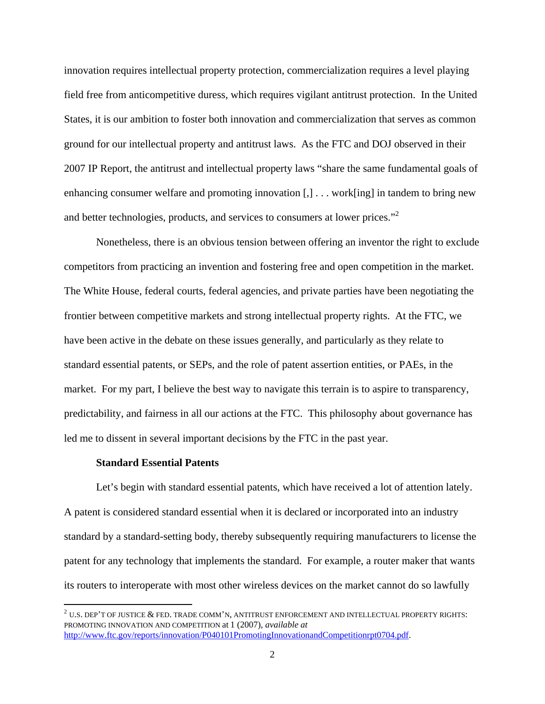innovation requires intellectual property protection, commercialization requires a level playing field free from anticompetitive duress, which requires vigilant antitrust protection. In the United States, it is our ambition to foster both innovation and commercialization that serves as common ground for our intellectual property and antitrust laws. As the FTC and DOJ observed in their 2007 IP Report, the antitrust and intellectual property laws "share the same fundamental goals of enhancing consumer welfare and promoting innovation [,] . . . work[ing] in tandem to bring new and better technologies, products, and services to consumers at lower prices."<sup>2</sup>

Nonetheless, there is an obvious tension between offering an inventor the right to exclude competitors from practicing an invention and fostering free and open competition in the market. The White House, federal courts, federal agencies, and private parties have been negotiating the frontier between competitive markets and strong intellectual property rights. At the FTC, we have been active in the debate on these issues generally, and particularly as they relate to standard essential patents, or SEPs, and the role of patent assertion entities, or PAEs, in the market. For my part, I believe the best way to navigate this terrain is to aspire to transparency, predictability, and fairness in all our actions at the FTC. This philosophy about governance has led me to dissent in several important decisions by the FTC in the past year.

#### **Standard Essential Patents**

Let's begin with standard essential patents, which have received a lot of attention lately. A patent is considered standard essential when it is declared or incorporated into an industry standard by a standard-setting body, thereby subsequently requiring manufacturers to license the patent for any technology that implements the standard. For example, a router maker that wants its routers to interoperate with most other wireless devices on the market cannot do so lawfully

 $^2$  U.S. DEP'T OF JUSTICE  $\&$  FED. TRADE COMM'N, ANTITRUST ENFORCEMENT AND INTELLECTUAL PROPERTY RIGHTS: PROMOTING INNOVATION AND COMPETITION at 1 (2007), *available at* http://www.ftc.gov/reports/innovation/P040101PromotingInnovationandCompetitionrpt0704.pdf.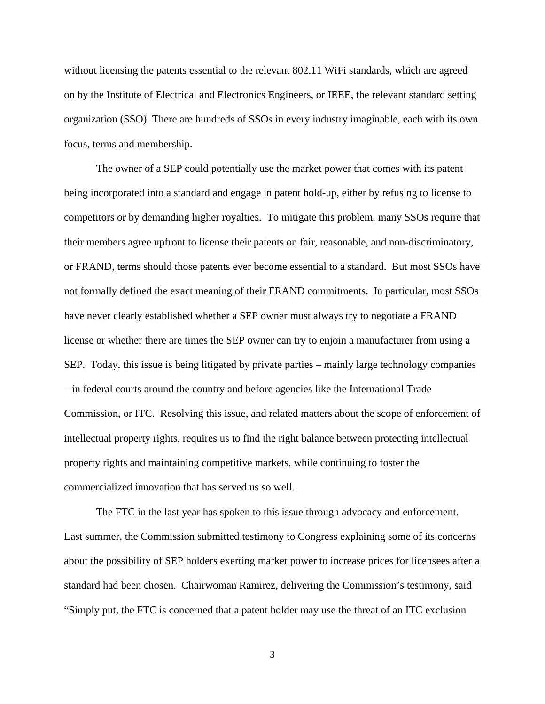without licensing the patents essential to the relevant 802.11 WiFi standards, which are agreed on by the Institute of Electrical and Electronics Engineers, or IEEE, the relevant standard setting organization (SSO). There are hundreds of SSOs in every industry imaginable, each with its own focus, terms and membership.

The owner of a SEP could potentially use the market power that comes with its patent being incorporated into a standard and engage in patent hold-up, either by refusing to license to competitors or by demanding higher royalties. To mitigate this problem, many SSOs require that their members agree upfront to license their patents on fair, reasonable, and non-discriminatory, or FRAND, terms should those patents ever become essential to a standard. But most SSOs have not formally defined the exact meaning of their FRAND commitments. In particular, most SSOs have never clearly established whether a SEP owner must always try to negotiate a FRAND license or whether there are times the SEP owner can try to enjoin a manufacturer from using a SEP. Today, this issue is being litigated by private parties – mainly large technology companies – in federal courts around the country and before agencies like the International Trade Commission, or ITC. Resolving this issue, and related matters about the scope of enforcement of intellectual property rights, requires us to find the right balance between protecting intellectual property rights and maintaining competitive markets, while continuing to foster the commercialized innovation that has served us so well.

The FTC in the last year has spoken to this issue through advocacy and enforcement. Last summer, the Commission submitted testimony to Congress explaining some of its concerns about the possibility of SEP holders exerting market power to increase prices for licensees after a standard had been chosen. Chairwoman Ramirez, delivering the Commission's testimony, said "Simply put, the FTC is concerned that a patent holder may use the threat of an ITC exclusion

3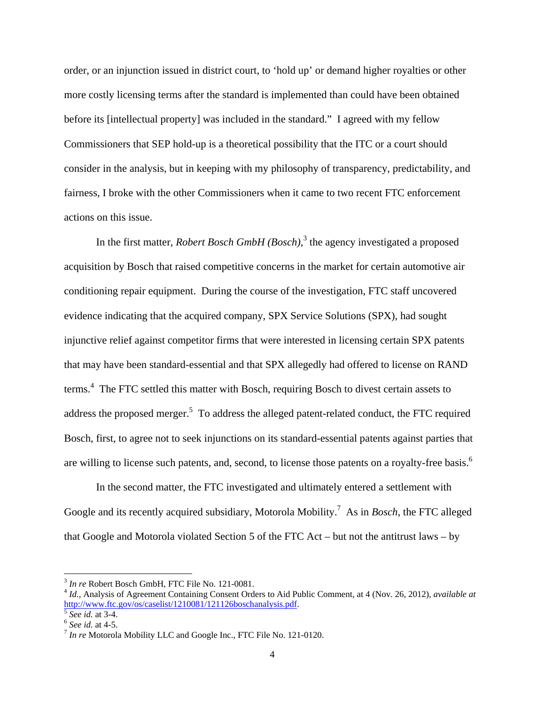order, or an injunction issued in district court, to 'hold up' or demand higher royalties or other more costly licensing terms after the standard is implemented than could have been obtained before its [intellectual property] was included in the standard." I agreed with my fellow Commissioners that SEP hold-up is a theoretical possibility that the ITC or a court should consider in the analysis, but in keeping with my philosophy of transparency, predictability, and fairness, I broke with the other Commissioners when it came to two recent FTC enforcement actions on this issue.

In the first matter, *Robert Bosch GmbH (Bosch)*, 3 the agency investigated a proposed acquisition by Bosch that raised competitive concerns in the market for certain automotive air conditioning repair equipment. During the course of the investigation, FTC staff uncovered evidence indicating that the acquired company, SPX Service Solutions (SPX), had sought injunctive relief against competitor firms that were interested in licensing certain SPX patents that may have been standard-essential and that SPX allegedly had offered to license on RAND terms.<sup>4</sup> The FTC settled this matter with Bosch, requiring Bosch to divest certain assets to address the proposed merger.<sup>5</sup> To address the alleged patent-related conduct, the FTC required Bosch, first, to agree not to seek injunctions on its standard-essential patents against parties that are willing to license such patents, and, second, to license those patents on a royalty-free basis.<sup>6</sup>

In the second matter, the FTC investigated and ultimately entered a settlement with Google and its recently acquired subsidiary, Motorola Mobility.7 As in *Bosch*, the FTC alleged that Google and Motorola violated Section 5 of the FTC Act – but not the antitrust laws – by

 $3$  In re Robert Bosch GmbH, FTC File No. 121-0081.

 $3$  *Id.*, Analysis of Agreement Containing Consent Orders to Aid Public Comment, at 4 (Nov. 26, 2012), *available at* http://www.ftc.gov/os/caselist/1210081/121126boschanalysis.pdf.

 $\frac{5}{6}$  *See id.* at 3-4.  $\frac{6}{6}$  *See id.* at 4-5.  $\frac{7}{1}$  *In re* Motorola Mobility LLC and Google Inc., FTC File No. 121-0120.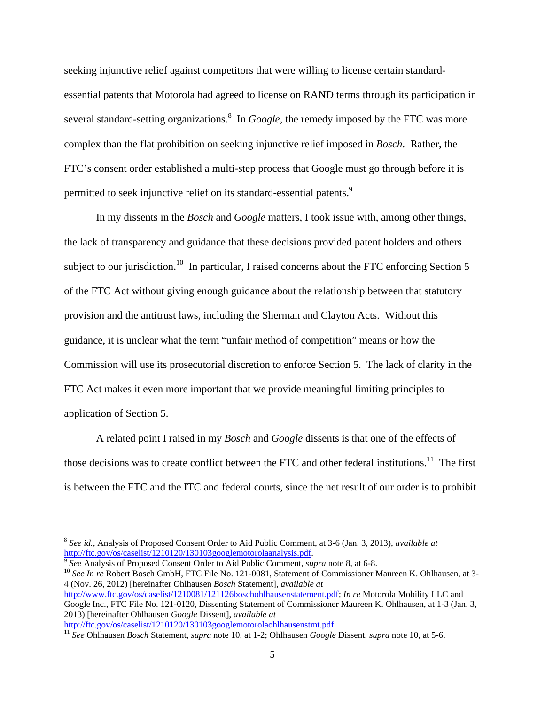seeking injunctive relief against competitors that were willing to license certain standardessential patents that Motorola had agreed to license on RAND terms through its participation in several standard-setting organizations.<sup>8</sup> In *Google*, the remedy imposed by the FTC was more complex than the flat prohibition on seeking injunctive relief imposed in *Bosch*. Rather, the FTC's consent order established a multi-step process that Google must go through before it is permitted to seek injunctive relief on its standard-essential patents.<sup>9</sup>

In my dissents in the *Bosch* and *Google* matters, I took issue with, among other things, the lack of transparency and guidance that these decisions provided patent holders and others subject to our jurisdiction.<sup>10</sup> In particular, I raised concerns about the FTC enforcing Section 5 of the FTC Act without giving enough guidance about the relationship between that statutory provision and the antitrust laws, including the Sherman and Clayton Acts. Without this guidance, it is unclear what the term "unfair method of competition" means or how the Commission will use its prosecutorial discretion to enforce Section 5. The lack of clarity in the FTC Act makes it even more important that we provide meaningful limiting principles to application of Section 5.

A related point I raised in my *Bosch* and *Google* dissents is that one of the effects of those decisions was to create conflict between the FTC and other federal institutions.<sup>11</sup> The first is between the FTC and the ITC and federal courts, since the net result of our order is to prohibit

 $\frac{9}{10}$  See Analysis of Proposed Consent Order to Aid Public Comment, *supra* note 8, at 6-8.<br><sup>10</sup> See In re Robert Bosch GmbH, FTC File No. 121-0081, Statement of Commissioner Maureen K. Ohlhausen, at 3-4 (Nov. 26, 2012) [hereinafter Ohlhausen *Bosch* Statement], *available at* http://www.ftc.gov/os/caselist/1210081/121126boschohlhausenstatement.pdf; *In re* Motorola Mobility LLC and Google Inc., FTC File No. 121-0120, Dissenting Statement of Commissioner Maureen K. Ohlhausen, at 1-3 (Jan. 3,

2013) [hereinafter Ohlhausen *Google* Dissent], *available at*

<sup>&</sup>lt;sup>8</sup> *See id.*, Analysis of Proposed Consent Order to Aid Public Comment, at 3-6 (Jan. 3, 2013), *available at* http://ftc.gov/os/caselist/1210120/130103googlemotorolaanalysis.pdf.

http://ftc.gov/os/caselist/1210120/130103googlemotorolaohlhausenstmt.pdf. 11 *See* Ohlhausen *Bosch* Statement, *supra* note 10, at 1-2; Ohlhausen *Google* Dissent, *supra* note 10, at 5-6.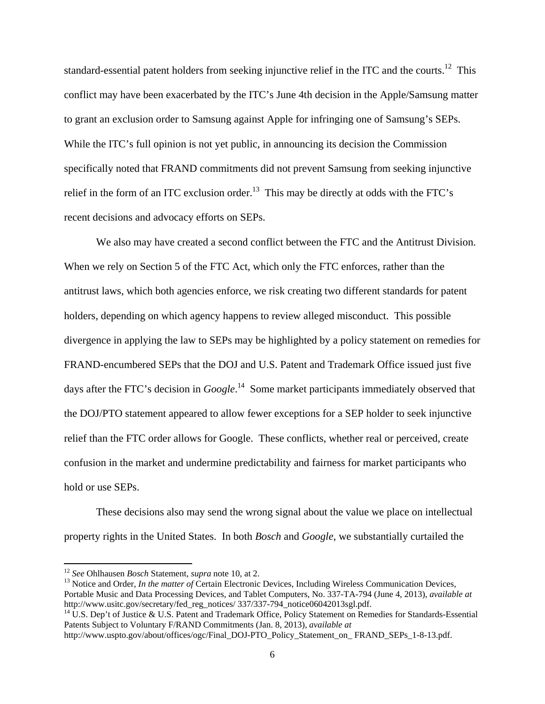standard-essential patent holders from seeking injunctive relief in the ITC and the courts.<sup>12</sup> This conflict may have been exacerbated by the ITC's June 4th decision in the Apple/Samsung matter to grant an exclusion order to Samsung against Apple for infringing one of Samsung's SEPs. While the ITC's full opinion is not yet public, in announcing its decision the Commission specifically noted that FRAND commitments did not prevent Samsung from seeking injunctive relief in the form of an ITC exclusion order.<sup>13</sup> This may be directly at odds with the FTC's recent decisions and advocacy efforts on SEPs.

We also may have created a second conflict between the FTC and the Antitrust Division. When we rely on Section 5 of the FTC Act, which only the FTC enforces, rather than the antitrust laws, which both agencies enforce, we risk creating two different standards for patent holders, depending on which agency happens to review alleged misconduct. This possible divergence in applying the law to SEPs may be highlighted by a policy statement on remedies for FRAND-encumbered SEPs that the DOJ and U.S. Patent and Trademark Office issued just five days after the FTC's decision in *Google*.<sup>14</sup> Some market participants immediately observed that the DOJ/PTO statement appeared to allow fewer exceptions for a SEP holder to seek injunctive relief than the FTC order allows for Google. These conflicts, whether real or perceived, create confusion in the market and undermine predictability and fairness for market participants who hold or use SEPs.

These decisions also may send the wrong signal about the value we place on intellectual property rights in the United States. In both *Bosch* and *Google*, we substantially curtailed the

<sup>12</sup> *See* Ohlhausen *Bosch* Statement, *supra* note 10, at 2.<br><sup>13</sup> Notice and Order, *In the matter of* Certain Electronic Devices, Including Wireless Communication Devices, Portable Music and Data Processing Devices, and Tablet Computers, No. 337-TA-794 (June 4, 2013), *available at*  http://www.usitc.gov/secretary/fed\_reg\_notices/ 337/337-794\_notice06042013sgl.pdf.<br><sup>14</sup> U.S. Dep't of Justice & U.S. Patent and Trademark Office, Policy Statement on Remedies for Standards-Essential

Patents Subject to Voluntary F/RAND Commitments (Jan. 8, 2013), *available at*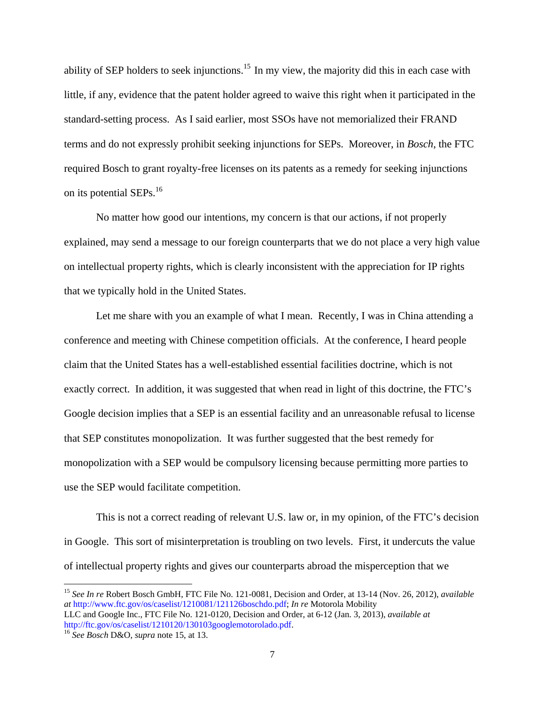ability of SEP holders to seek injunctions.<sup>15</sup> In my view, the majority did this in each case with little, if any, evidence that the patent holder agreed to waive this right when it participated in the standard-setting process. As I said earlier, most SSOs have not memorialized their FRAND terms and do not expressly prohibit seeking injunctions for SEPs. Moreover, in *Bosch*, the FTC required Bosch to grant royalty-free licenses on its patents as a remedy for seeking injunctions on its potential SEPs.<sup>16</sup>

No matter how good our intentions, my concern is that our actions, if not properly explained, may send a message to our foreign counterparts that we do not place a very high value on intellectual property rights, which is clearly inconsistent with the appreciation for IP rights that we typically hold in the United States.

Let me share with you an example of what I mean. Recently, I was in China attending a conference and meeting with Chinese competition officials. At the conference, I heard people claim that the United States has a well-established essential facilities doctrine, which is not exactly correct. In addition, it was suggested that when read in light of this doctrine, the FTC's Google decision implies that a SEP is an essential facility and an unreasonable refusal to license that SEP constitutes monopolization. It was further suggested that the best remedy for monopolization with a SEP would be compulsory licensing because permitting more parties to use the SEP would facilitate competition.

This is not a correct reading of relevant U.S. law or, in my opinion, of the FTC's decision in Google. This sort of misinterpretation is troubling on two levels. First, it undercuts the value of intellectual property rights and gives our counterparts abroad the misperception that we

<sup>15</sup> *See In re* Robert Bosch GmbH, FTC File No. 121-0081, Decision and Order, at 13-14 (Nov. 26, 2012), *available at* http://www.ftc.gov/os/caselist/1210081/121126boschdo.pdf; *In re* Motorola Mobility LLC and Google Inc., FTC File No. 121-0120, Decision and Order, at 6-12 (Jan. 3, 2013), *available at* 

http://ftc.gov/os/caselist/1210120/130103googlemotorolado.pdf. 16 *See Bosch* D&O, *supra* note 15, at 13.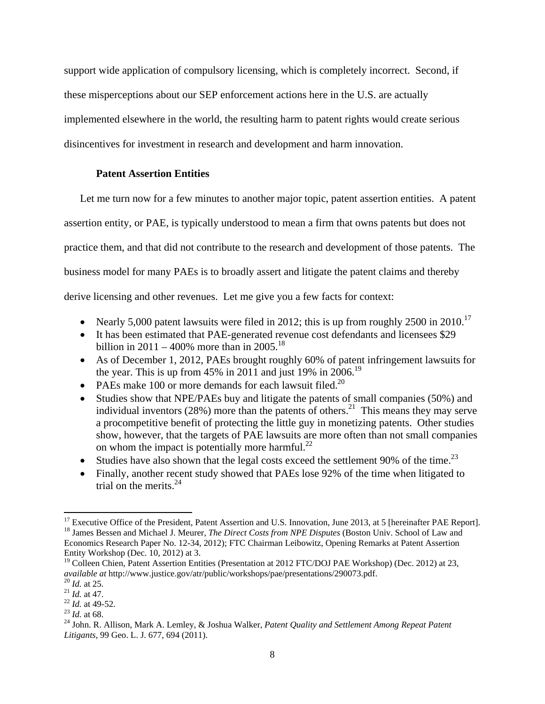support wide application of compulsory licensing, which is completely incorrect. Second, if these misperceptions about our SEP enforcement actions here in the U.S. are actually implemented elsewhere in the world, the resulting harm to patent rights would create serious disincentives for investment in research and development and harm innovation.

#### **Patent Assertion Entities**

Let me turn now for a few minutes to another major topic, patent assertion entities. A patent

assertion entity, or PAE, is typically understood to mean a firm that owns patents but does not

practice them, and that did not contribute to the research and development of those patents. The

business model for many PAEs is to broadly assert and litigate the patent claims and thereby

derive licensing and other revenues. Let me give you a few facts for context:

- Nearly 5,000 patent lawsuits were filed in 2012; this is up from roughly 2500 in 2010.<sup>17</sup>
- It has been estimated that PAE-generated revenue cost defendants and licensees \$29 billion in 2011 – 400% more than in 2005.<sup>18</sup>
- As of December 1, 2012, PAEs brought roughly 60% of patent infringement lawsuits for the year. This is up from 45% in 2011 and just 19% in 2006.<sup>19</sup>
- PAEs make 100 or more demands for each lawsuit filed.<sup>20</sup>
- Studies show that NPE/PAEs buy and litigate the patents of small companies (50%) and individual inventors  $(28%)$  more than the patents of others.<sup>21</sup> This means they may serve a procompetitive benefit of protecting the little guy in monetizing patents. Other studies show, however, that the targets of PAE lawsuits are more often than not small companies on whom the impact is potentially more harmful.<sup>22</sup>
- Studies have also shown that the legal costs exceed the settlement 90% of the time.<sup>23</sup>
- Finally, another recent study showed that PAEs lose 92% of the time when litigated to trial on the merits.  $24$

 <sup>17</sup> Executive Office of the President, Patent Assertion and U.S. Innovation, June 2013, at 5 [hereinafter PAE Report].<br><sup>18</sup> James Bessen and Michael J. Meurer, *The Direct Costs from NPE Disputes* (Boston Univ. School of Economics Research Paper No. 12-34, 2012); FTC Chairman Leibowitz, Opening Remarks at Patent Assertion Entity Workshop (Dec. 10, 2012) at 3.

<sup>&</sup>lt;sup>19</sup> Colleen Chien, Patent Assertion Entities (Presentation at 2012 FTC/DOJ PAE Workshop) (Dec. 2012) at 23, *available at* http://www.justice.gov/atr/public/workshops/pae/presentations/290073.pdf.

<sup>&</sup>lt;sup>20</sup> *Id.* at 25.<br>
<sup>21</sup> *Id.* at 47.<br>
<sup>22</sup> *Id.* at 49-52.<br>
<sup>23</sup> *Id.* at 68.<br>
<sup>24</sup> John. R. Allison, Mark A. Lemley, & Joshua Walker, *Patent Quality and Settlement Among Repeat Patent Litigants*, 99 Geo. L. J. 677, 694 (2011).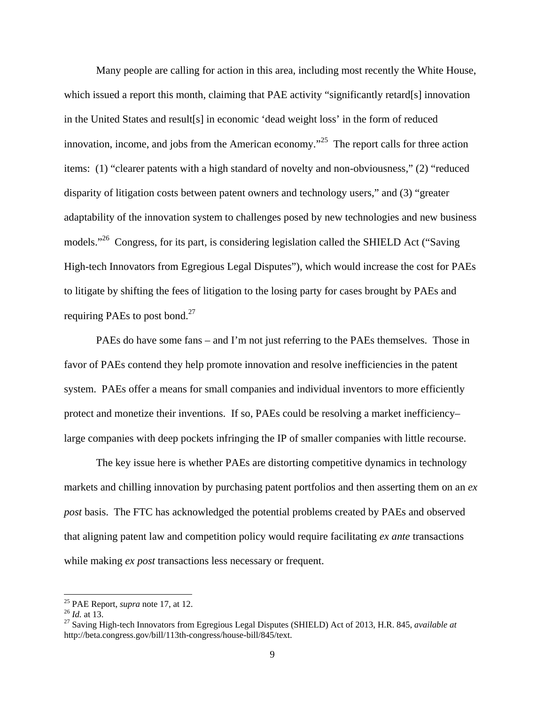Many people are calling for action in this area, including most recently the White House, which issued a report this month, claiming that PAE activity "significantly retard[s] innovation in the United States and result[s] in economic 'dead weight loss' in the form of reduced innovation, income, and jobs from the American economy.<sup> $25$ </sup> The report calls for three action items: (1) "clearer patents with a high standard of novelty and non-obviousness," (2) "reduced disparity of litigation costs between patent owners and technology users," and (3) "greater adaptability of the innovation system to challenges posed by new technologies and new business models."<sup>26</sup> Congress, for its part, is considering legislation called the SHIELD Act ("Saving") High-tech Innovators from Egregious Legal Disputes"), which would increase the cost for PAEs to litigate by shifting the fees of litigation to the losing party for cases brought by PAEs and requiring PAEs to post bond. $27$ 

PAEs do have some fans – and I'm not just referring to the PAEs themselves. Those in favor of PAEs contend they help promote innovation and resolve inefficiencies in the patent system. PAEs offer a means for small companies and individual inventors to more efficiently protect and monetize their inventions. If so, PAEs could be resolving a market inefficiency– large companies with deep pockets infringing the IP of smaller companies with little recourse.

The key issue here is whether PAEs are distorting competitive dynamics in technology markets and chilling innovation by purchasing patent portfolios and then asserting them on an *ex post* basis.The FTC has acknowledged the potential problems created by PAEs and observed that aligning patent law and competition policy would require facilitating *ex ante* transactions while making *ex post* transactions less necessary or frequent.

<sup>&</sup>lt;sup>25</sup> PAE Report, *supra* note 17, at 12.<br><sup>26</sup> *Id.* at 13.<br><sup>27</sup> Saving High-tech Innovators from Egregious Legal Disputes (SHIELD) Act of 2013, H.R. 845, *available at* http://beta.congress.gov/bill/113th-congress/house-bill/845/text.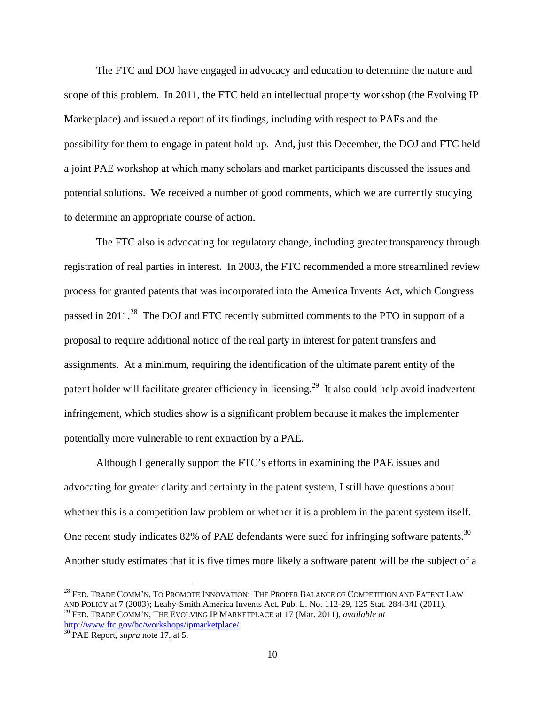The FTC and DOJ have engaged in advocacy and education to determine the nature and scope of this problem. In 2011, the FTC held an intellectual property workshop (the Evolving IP Marketplace) and issued a report of its findings, including with respect to PAEs and the possibility for them to engage in patent hold up. And, just this December, the DOJ and FTC held a joint PAE workshop at which many scholars and market participants discussed the issues and potential solutions. We received a number of good comments, which we are currently studying to determine an appropriate course of action.

The FTC also is advocating for regulatory change, including greater transparency through registration of real parties in interest.In 2003, the FTC recommended a more streamlined review process for granted patents that was incorporated into the America Invents Act, which Congress passed in 2011.<sup>28</sup> The DOJ and FTC recently submitted comments to the PTO in support of a proposal to require additional notice of the real party in interest for patent transfers and assignments. At a minimum, requiring the identification of the ultimate parent entity of the patent holder will facilitate greater efficiency in licensing.<sup>29</sup> It also could help avoid inadvertent infringement, which studies show is a significant problem because it makes the implementer potentially more vulnerable to rent extraction by a PAE.

Although I generally support the FTC's efforts in examining the PAE issues and advocating for greater clarity and certainty in the patent system, I still have questions about whether this is a competition law problem or whether it is a problem in the patent system itself. One recent study indicates 82% of PAE defendants were sued for infringing software patents.<sup>30</sup> Another study estimates that it is five times more likely a software patent will be the subject of a

 $^{28}$  Fed. Trade Comm'n, To Promote Innovation: The Proper Balance of Competition and Patent Law AND POLICY at 7 (2003); Leahy-Smith America Invents Act, Pub. L. No. 112-29, 125 Stat. 284-341 (2011). 29 FED. TRADE COMM'N, THE EVOLVING IP MARKETPLACE at 17 (Mar. 2011), *available at* http://www.ftc.gov/bc/workshops/ipmarketplace/. 30 PAE Report, *supra* note 17, at 5.